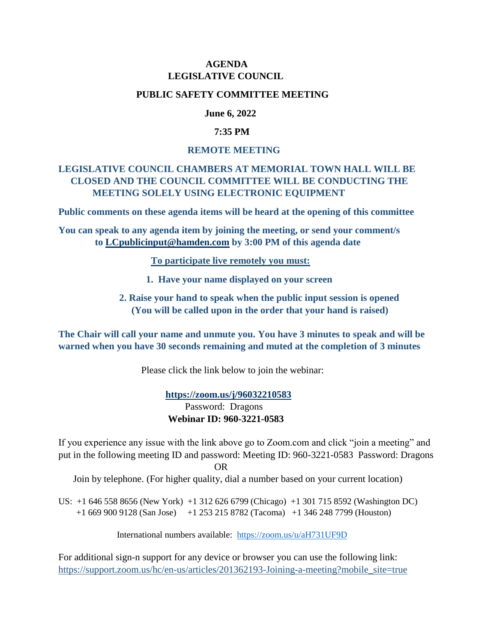## **AGENDA LEGISLATIVE COUNCIL**

### **PUBLIC SAFETY COMMITTEE MEETING**

## **June 6, 2022**

### **7:35 PM**

#### **REMOTE MEETING**

# **LEGISLATIVE COUNCIL CHAMBERS AT MEMORIAL TOWN HALL WILL BE CLOSED AND THE COUNCIL COMMITTEE WILL BE CONDUCTING THE MEETING SOLELY USING ELECTRONIC EQUIPMENT**

**Public comments on these agenda items will be heard at the opening of this committee**

**You can speak to any agenda item by joining the meeting, or send your comment/s to [LCpublicinput@hamden.com](mailto:LCpublicinput@hamden.com) by 3:00 PM of this agenda date**

 **To participate live remotely you must:**

- **1. Have your name displayed on your screen**
- **2. Raise your hand to speak when the public input session is opened (You will be called upon in the order that your hand is raised)**

**The Chair will call your name and unmute you. You have 3 minutes to speak and will be warned when you have 30 seconds remaining and muted at the completion of 3 minutes**

Please click the link below to join the webinar:

 **<https://zoom.us/j/96032210583>** Password: Dragons **Webinar ID: 960-3221-0583**

If you experience any issue with the link above go to Zoom.com and click "join a meeting" and put in the following meeting ID and password: Meeting ID: 960-3221-0583 Password: Dragons OR

Join by telephone. (For higher quality, dial a number based on your current location)

US: +1 646 558 8656 (New York) +1 312 626 6799 (Chicago) +1 301 715 8592 (Washington DC) +1 669 900 9128 (San Jose) +1 253 215 8782 (Tacoma) +1 346 248 7799 (Houston)

International numbers available: <https://zoom.us/u/aH731UF9D>

For additional sign-n support for any device or browser you can use the following link: [https://support.zoom.us/hc/en-us/articles/201362193-Joining-a-meeting?mobile\\_site=true](https://support.zoom.us/hc/en-us/articles/201362193-Joining-a-meeting?mobile_site=true)